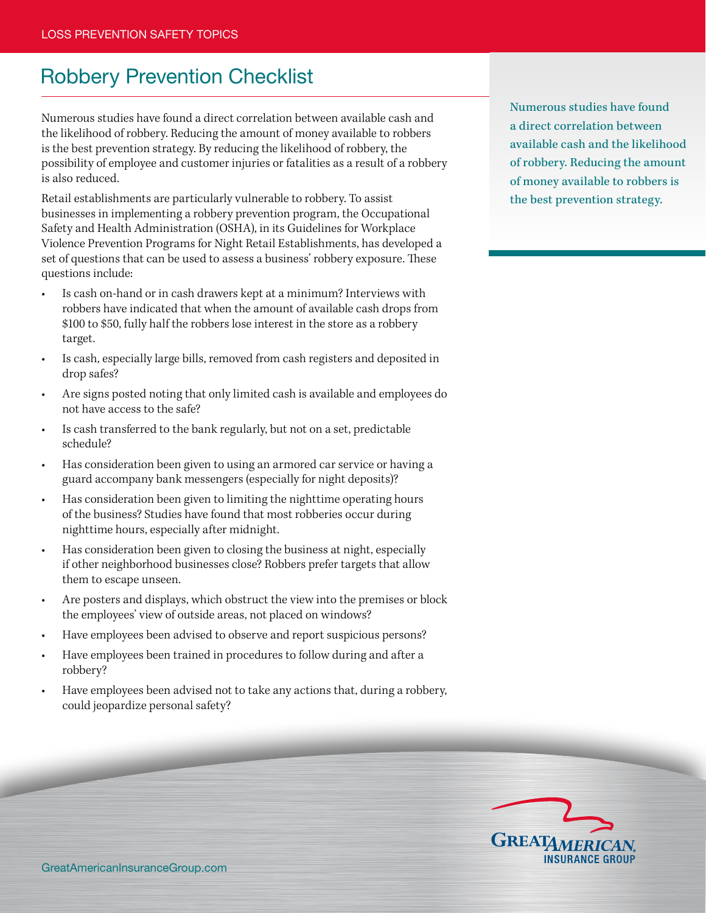## Robbery Prevention Checklist

Numerous studies have found a direct correlation between available cash and the likelihood of robbery. Reducing the amount of money available to robbers is the best prevention strategy. By reducing the likelihood of robbery, the possibility of employee and customer injuries or fatalities as a result of a robbery is also reduced.

Retail establishments are particularly vulnerable to robbery. To assist businesses in implementing a robbery prevention program, the Occupational Safety and Health Administration (OSHA), in its Guidelines for Workplace Violence Prevention Programs for Night Retail Establishments, has developed a set of questions that can be used to assess a business' robbery exposure. These questions include:

- Is cash on-hand or in cash drawers kept at a minimum? Interviews with robbers have indicated that when the amount of available cash drops from \$100 to \$50, fully half the robbers lose interest in the store as a robbery target.
- Is cash, especially large bills, removed from cash registers and deposited in drop safes?
- Are signs posted noting that only limited cash is available and employees do not have access to the safe?
- Is cash transferred to the bank regularly, but not on a set, predictable schedule?
- Has consideration been given to using an armored car service or having a guard accompany bank messengers (especially for night deposits)?
- Has consideration been given to limiting the nighttime operating hours of the business? Studies have found that most robberies occur during nighttime hours, especially after midnight.
- Has consideration been given to closing the business at night, especially if other neighborhood businesses close? Robbers prefer targets that allow them to escape unseen.
- Are posters and displays, which obstruct the view into the premises or block the employees' view of outside areas, not placed on windows?
- Have employees been advised to observe and report suspicious persons?
- Have employees been trained in procedures to follow during and after a robbery?
- Have employees been advised not to take any actions that, during a robbery, could jeopardize personal safety?

Numerous studies have found a direct correlation between available cash and the likelihood of robbery. Reducing the amount of money available to robbers is the best prevention strategy.